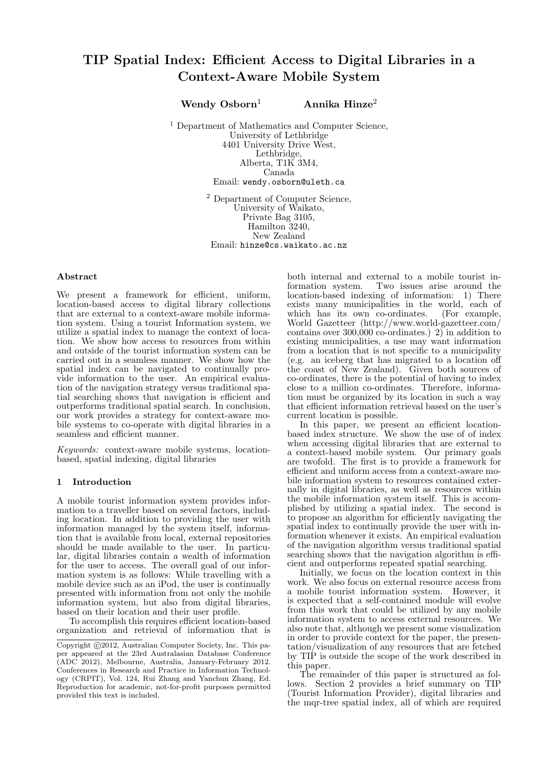Wendy  $Osborn<sup>1</sup>$  Annika Hinze<sup>2</sup>

<sup>1</sup> Department of Mathematics and Computer Science, University of Lethbridge 4401 University Drive West, Lethbridge, Alberta, T1K 3M4, Canada Email: wendy.osborn@uleth.ca

> <sup>2</sup> Department of Computer Science, University of Waikato, Private Bag 3105, Hamilton 3240, New Zealand Email: hinze@cs.waikato.ac.nz

# Abstract

We present a framework for efficient, uniform, location-based access to digital library collections that are external to a context-aware mobile information system. Using a tourist Information system, we utilize a spatial index to manage the context of location. We show how access to resources from within and outside of the tourist information system can be carried out in a seamless manner. We show how the spatial index can be navigated to continually provide information to the user. An empirical evaluation of the navigation strategy versus traditional spatial searching shows that navigation is efficient and outperforms traditional spatial search. In conclusion, our work provides a strategy for context-aware mobile systems to co-operate with digital libraries in a seamless and efficient manner.

Keywords: context-aware mobile systems, locationbased, spatial indexing, digital libraries

# 1 Introduction

A mobile tourist information system provides information to a traveller based on several factors, including location. In addition to providing the user with information managed by the system itself, information that is available from local, external repositories should be made available to the user. In particular, digital libraries contain a wealth of information for the user to access. The overall goal of our information system is as follows: While travelling with a mobile device such as an iPod, the user is continually presented with information from not only the mobile information system, but also from digital libraries, based on their location and their user profile.

To accomplish this requires efficient location-based organization and retrieval of information that is both internal and external to a mobile tourist information system. Two issues arise around the location-based indexing of information: 1) There exists many municipalities in the world, each of which has its own co-ordinates. (For example, World Gazetteer (http://www.world-gazetteer.com/ contains over  $300,000$  co-ordinates.) 2) in addition to existing municipalities, a use may want information from a location that is not specific to a municipality (e.g. an iceberg that has migrated to a location off the coast of New Zealand). Given both sources of co-ordinates, there is the potential of having to index close to a million co-ordinates. Therefore, information must be organized by its location in such a way that efficient information retrieval based on the user's current location is possible.

In this paper, we present an efficient locationbased index structure. We show the use of of index when accessing digital libraries that are external to a context-based mobile system. Our primary goals are twofold. The first is to provide a framework for efficient and uniform access from a context-aware mobile information system to resources contained externally in digital libraries, as well as resources within the mobile information system itself. This is accomplished by utilizing a spatial index. The second is to propose an algorithm for efficiently navigating the spatial index to continually provide the user with information whenever it exists. An empirical evaluation of the navigation algorithm versus traditional spatial searching shows that the navigation algorithm is efficient and outperforms repeated spatial searching.

Initially, we focus on the location context in this work. We also focus on external resource access from a mobile tourist information system. However, it is expected that a self-contained module will evolve from this work that could be utilized by any mobile information system to access external resources. We also note that, although we present some visualization in order to provide context for the paper, the presentation/visualization of any resources that are fetched by TIP is outside the scope of the work described in this paper.

The remainder of this paper is structured as follows. Section 2 provides a brief summary on TIP (Tourist Information Provider), digital libraries and the mqr-tree spatial index, all of which are required

 $\overline{\text{Copyright } \textcircled{c}2012, \text{ Australian Computer Society, Inc. This pa-}$ per appeared at the 23rd Australasian Database Conference (ADC 2012), Melbourne, Australia, January-February 2012. Conferences in Research and Practice in Information Technology (CRPIT), Vol. 124, Rui Zhang and Yanchun Zhang, Ed. Reproduction for academic, not-for-profit purposes permitted provided this text is included.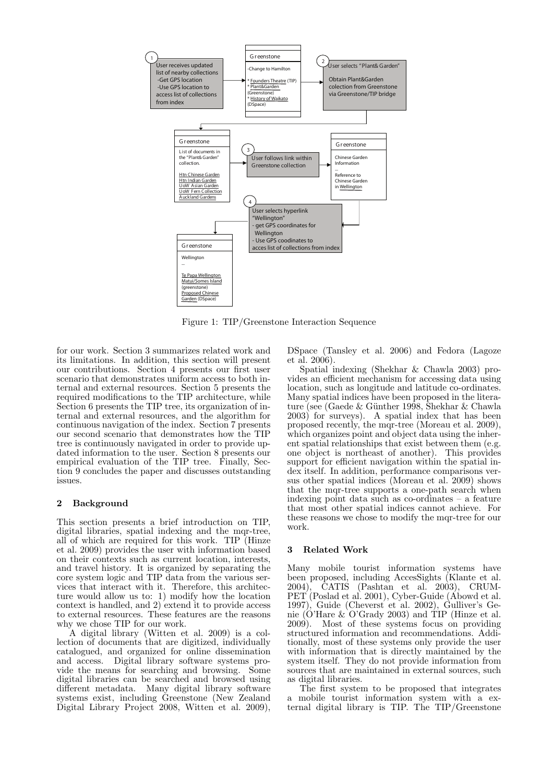

Figure 1: TIP/Greenstone Interaction Sequence

for our work. Section 3 summarizes related work and its limitations. In addition, this section will present our contributions. Section 4 presents our first user scenario that demonstrates uniform access to both internal and external resources. Section 5 presents the required modifications to the TIP architecture, while Section 6 presents the TIP tree, its organization of internal and external resources, and the algorithm for continuous navigation of the index. Section 7 presents our second scenario that demonstrates how the TIP tree is continuously navigated in order to provide updated information to the user. Section 8 presents our empirical evaluation of the TIP tree. Finally, Section 9 concludes the paper and discusses outstanding issues.

# 2 Background

This section presents a brief introduction on TIP, digital libraries, spatial indexing and the mqr-tree, all of which are required for this work. TIP (Hinze et al. 2009) provides the user with information based on their contexts such as current location, interests, and travel history. It is organized by separating the core system logic and TIP data from the various services that interact with it. Therefore, this architecture would allow us to: 1) modify how the location context is handled, and 2) extend it to provide access to external resources. These features are the reasons why we chose TIP for our work.

A digital library (Witten et al. 2009) is a collection of documents that are digitized, individually catalogued, and organized for online dissemination and access. Digital library software systems provide the means for searching and browsing. Some digital libraries can be searched and browsed using different metadata. Many digital library software systems exist, including Greenstone (New Zealand Digital Library Project 2008, Witten et al. 2009), DSpace (Tansley et al. 2006) and Fedora (Lagoze et al. 2006).

Spatial indexing (Shekhar & Chawla 2003) provides an efficient mechanism for accessing data using location, such as longitude and latitude co-ordinates. Many spatial indices have been proposed in the literature (see (Gaede & Günther 1998, Shekhar & Chawla 2003) for surveys). A spatial index that has been proposed recently, the mqr-tree (Moreau et al. 2009), which organizes point and object data using the inherent spatial relationships that exist between them (e.g. one object is northeast of another). This provides support for efficient navigation within the spatial index itself. In addition, performance comparisons versus other spatial indices (Moreau et al. 2009) shows that the mqr-tree supports a one-path search when indexing point data such as co-ordinates – a feature that most other spatial indices cannot achieve. For these reasons we chose to modify the mqr-tree for our work.

#### 3 Related Work

Many mobile tourist information systems have been proposed, including AccesSights (Klante et al.  $2004$ , CATIS (Pashtan et al.  $2003$ ), CRUM-PET (Poslad et al. 2001), Cyber-Guide (Abowd et al. 1997), Guide (Cheverst et al. 2002), Gulliver's Genie (O'Hare & O'Grady 2003) and TIP (Hinze et al. 2009). Most of these systems focus on providing structured information and recommendations. Additionally, most of these systems only provide the user with information that is directly maintained by the system itself. They do not provide information from sources that are maintained in external sources, such as digital libraries.

The first system to be proposed that integrates a mobile tourist information system with a external digital library is TIP. The TIP/Greenstone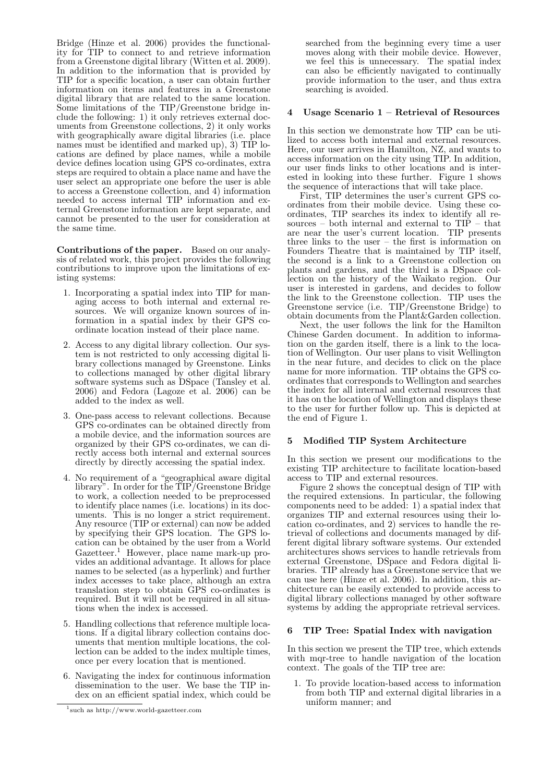Bridge (Hinze et al. 2006) provides the functionality for TIP to connect to and retrieve information from a Greenstone digital library (Witten et al. 2009). In addition to the information that is provided by TIP for a specific location, a user can obtain further information on items and features in a Greenstone digital library that are related to the same location. Some limitations of the TIP/Greenstone bridge include the following: 1) it only retrieves external documents from Greenstone collections, 2) it only works with geographically aware digital libraries (i.e. place names must be identified and marked up), 3) TIP locations are defined by place names, while a mobile device defines location using GPS co-ordinates, extra steps are required to obtain a place name and have the user select an appropriate one before the user is able to access a Greenstone collection, and 4) information needed to access internal TIP information and external Greenstone information are kept separate, and cannot be presented to the user for consideration at the same time.

Contributions of the paper. Based on our analysis of related work, this project provides the following contributions to improve upon the limitations of existing systems:

- 1. Incorporating a spatial index into TIP for managing access to both internal and external resources. We will organize known sources of information in a spatial index by their GPS coordinate location instead of their place name.
- 2. Access to any digital library collection. Our system is not restricted to only accessing digital library collections managed by Greenstone. Links to collections managed by other digital library software systems such as DSpace (Tansley et al.  $2006$ ) and Fedora (Lagoze et al.  $2006$ ) can be added to the index as well.
- 3. One-pass access to relevant collections. Because GPS co-ordinates can be obtained directly from a mobile device, and the information sources are organized by their GPS co-ordinates, we can directly access both internal and external sources directly by directly accessing the spatial index.
- 4. No requirement of a "geographical aware digital library". In order for the TIP/Greenstone Bridge to work, a collection needed to be preprocessed to identify place names (i.e. locations) in its documents. This is no longer a strict requirement. Any resource (TIP or external) can now be added by specifying their GPS location. The GPS location can be obtained by the user from a World Gazetteer.<sup>1</sup> However, place name mark-up provides an additional advantage. It allows for place names to be selected (as a hyperlink) and further index accesses to take place, although an extra translation step to obtain GPS co-ordinates is required. But it will not be required in all situations when the index is accessed.
- 5. Handling collections that reference multiple locations. If a digital library collection contains documents that mention multiple locations, the collection can be added to the index multiple times, once per every location that is mentioned.
- 6. Navigating the index for continuous information dissemination to the user. We base the TIP index on an efficient spatial index, which could be

searched from the beginning every time a user moves along with their mobile device. However, we feel this is unnecessary. The spatial index can also be efficiently navigated to continually provide information to the user, and thus extra searching is avoided.

## Usage Scenario  $1 -$  Retrieval of Resources

In this section we demonstrate how TIP can be utilized to access both internal and external resources. Here, our user arrives in Hamilton, NZ, and wants to access information on the city using TIP. In addition, our user finds links to other locations and is interested in looking into these further. Figure 1 shows the sequence of interactions that will take place.

First, TIP determines the user's current GPS coordinates from their mobile device. Using these coordinates, TIP searches its index to identify all resources – both internal and external to TIP – that are near the user's current location. TIP presents three links to the user – the first is information on Founders Theatre that is maintained by TIP itself, the second is a link to a Greenstone collection on plants and gardens, and the third is a DSpace collection on the history of the Waikato region. Our user is interested in gardens, and decides to follow the link to the Greenstone collection. TIP uses the Greenstone service (i.e. TIP/Greenstone Bridge) to obtain documents from the Plant&Garden collection.

Next, the user follows the link for the Hamilton Chinese Garden document. In addition to information on the garden itself, there is a link to the location of Wellington. Our user plans to visit Wellington in the near future, and decides to click on the place name for more information. TIP obtains the GPS coordinates that corresponds to Wellington and searches the index for all internal and external resources that it has on the location of Wellington and displays these to the user for further follow up. This is depicted at the end of Figure 1.

## 5 Modified TIP System Architecture

In this section we present our modifications to the existing TIP architecture to facilitate location-based access to TIP and external resources.

Figure 2 shows the conceptual design of TIP with the required extensions. In particular, the following components need to be added: 1) a spatial index that organizes TIP and external resources using their location co-ordinates, and 2) services to handle the retrieval of collections and documents managed by different digital library software systems. Our extended architectures shows services to handle retrievals from external Greenstone, DSpace and Fedora digital libraries. TIP already has a Greenstone service that we can use here (Hinze et al. 2006). In addition, this architecture can be easily extended to provide access to digital library collections managed by other software systems by adding the appropriate retrieval services.

### 6 TIP Tree: Spatial Index with navigation

In this section we present the TIP tree, which extends with mqr-tree to handle navigation of the location context. The goals of the TIP tree are:

1. To provide location-based access to information from both TIP and external digital libraries in a uniform manner; and

<sup>1</sup> such as http://www.world-gazetteer.com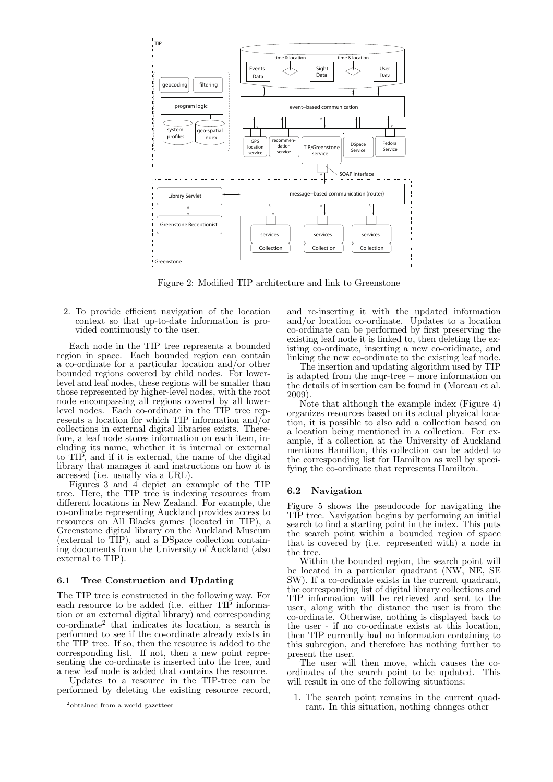

Figure 2: Modified TIP architecture and link to Greenstone

2. To provide efficient navigation of the location context so that up-to-date information is provided continuously to the user.

Each node in the TIP tree represents a bounded region in space. Each bounded region can contain a co-ordinate for a particular location and/or other bounded regions covered by child nodes. For lowerlevel and leaf nodes, these regions will be smaller than those represented by higher-level nodes, with the root node encompassing all regions covered by all lowerlevel nodes. Each co-ordinate in the TIP tree represents a location for which TIP information and/or collections in external digital libraries exists. Therefore, a leaf node stores information on each item, including its name, whether it is internal or external to TIP, and if it is external, the name of the digital library that manages it and instructions on how it is accessed (i.e. usually via a URL).

Figures 3 and 4 depict an example of the TIP tree. Here, the TIP tree is indexing resources from different locations in New Zealand. For example, the co-ordinate representing Auckland provides access to resources on All Blacks games (located in TIP), a Greenstone digital library on the Auckland Museum (external to TIP), and a DSpace collection containing documents from the University of Auckland (also external to TIP).

#### 6.1 Tree Construction and Updating

The TIP tree is constructed in the following way. For each resource to be added (i.e. either TIP information or an external digital library) and corresponding co-ordinate<sup>2</sup> that indicates its location, a search is performed to see if the co-ordinate already exists in the TIP tree. If so, then the resource is added to the corresponding list. If not, then a new point representing the co-ordinate is inserted into the tree, and a new leaf node is added that contains the resource.

Updates to a resource in the TIP-tree can be performed by deleting the existing resource record, and re-inserting it with the updated information and/or location co-ordinate. Updates to a location co-ordinate can be performed by first preserving the existing leaf node it is linked to, then deleting the existing co-ordinate, inserting a new co-oridinate, and linking the new co-ordinate to the existing leaf node.

The insertion and updating algorithm used by TIP is adapted from the mqr-tree – more information on the details of insertion can be found in (Moreau et al. 2009).

Note that although the example index (Figure 4) organizes resources based on its actual physical location, it is possible to also add a collection based on a location being mentioned in a collection. For example, if a collection at the University of Auckland mentions Hamilton, this collection can be added to the corresponding list for Hamilton as well by specifying the co-ordinate that represents Hamilton.

#### 6.2 Navigation

Figure 5 shows the pseudocode for navigating the TIP tree. Navigation begins by performing an initial search to find a starting point in the index. This puts the search point within a bounded region of space that is covered by (i.e. represented with) a node in the tree.

Within the bounded region, the search point will be located in a particular quadrant (NW, NE, SE SW). If a co-ordinate exists in the current quadrant, the corresponding list of digital library collections and TIP information will be retrieved and sent to the user, along with the distance the user is from the co-ordinate. Otherwise, nothing is displayed back to the user - if no co-ordinate exists at this location, then TIP currently had no information containing to this subregion, and therefore has nothing further to present the user.

The user will then move, which causes the coordinates of the search point to be updated. This will result in one of the following situations:

1. The search point remains in the current quadrant. In this situation, nothing changes other

<sup>2</sup> obtained from a world gazetteer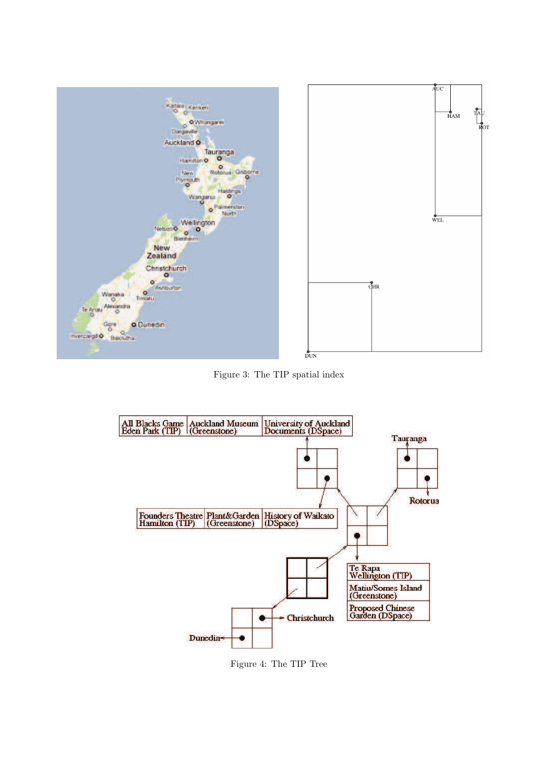

Figure 3: The TIP spatial index



Figure 4: The TIP Tree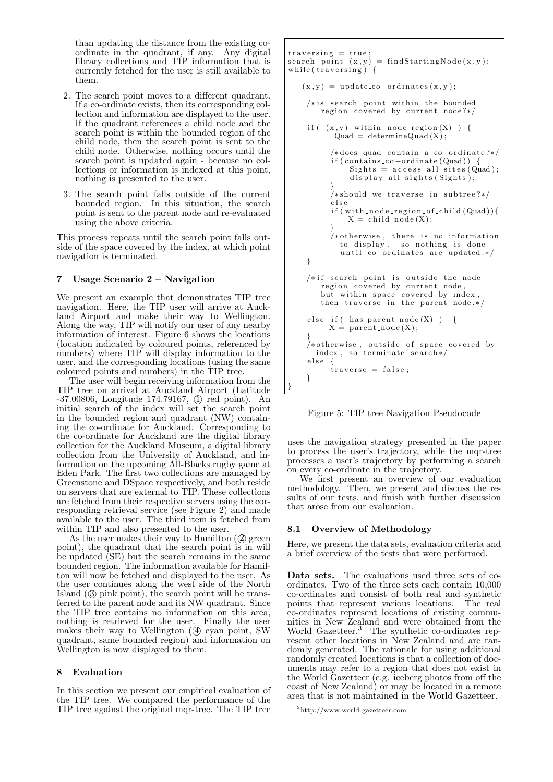than updating the distance from the existing coordinate in the quadrant, if any. Any digital library collections and TIP information that is currently fetched for the user is still available to them.

- 2. The search point moves to a different quadrant. If a co-ordinate exists, then its corresponding collection and information are displayed to the user. If the quadrant references a child node and the search point is within the bounded region of the child node, then the search point is sent to the child node. Otherwise, nothing occurs until the search point is updated again - because no collections or information is indexed at this point, nothing is presented to the user.
- 3. The search point falls outside of the current bounded region. In this situation, the search point is sent to the parent node and re-evaluated using the above criteria.

This process repeats until the search point falls outside of the space covered by the index, at which point navigation is terminated.

# 7 Usage Scenario 2 – Navigation

We present an example that demonstrates TIP tree navigation. Here, the TIP user will arrive at Auckland Airport and make their way to Wellington. Along the way, TIP will notify our user of any nearby information of interest. Figure 6 shows the locations (location indicated by coloured points, referenced by numbers) where TIP will display information to the user, and the corresponding locations (using the same coloured points and numbers) in the TIP tree.

The user will begin receiving information from the TIP tree on arrival at Auckland Airport (Latitude  $-37.00806$ , Longitude 174.79167,  $\circled{1}$  red point). An initial search of the index will set the search point in the bounded region and quadrant (NW) containing the co-ordinate for Auckland. Corresponding to the co-ordinate for Auckland are the digital library collection for the Auckland Museum, a digital library collection from the University of Auckland, and information on the upcoming All-Blacks rugby game at Eden Park. The first two collections are managed by Greenstone and DSpace respectively, and both reside on servers that are external to TIP. These collections are fetched from their respective servers using the corresponding retrieval service (see Figure 2) and made available to the user. The third item is fetched from within TIP and also presented to the user.

As the user makes their way to Hamilton  $(2)$  green point), the quadrant that the search point is in will be updated (SE) but the search remains in the same bounded region. The information available for Hamilton will now be fetched and displayed to the user. As the user continues along the west side of the North Island  $(3)$  pink point), the search point will be transferred to the parent node and its NW quadrant. Since the TIP tree contains no information on this area, nothing is retrieved for the user. Finally the user makes their way to Wellington  $(4)$  cyan point, SW quadrant, same bounded region) and information on Wellington is now displayed to them.

## 8 Evaluation

In this section we present our empirical evaluation of the TIP tree. We compared the performance of the TIP tree against the original mqr-tree. The TIP tree

```
traversing = true;search point (x, y) = findStartingNode(x, y);
while (\text{traversing}) {
   (x, y) = update\_co-ordinates(x, y);/* is search point within the bounded
       region covered by current node?*/if ((x, y) within node_region(X)) {
          Quad = determineQuad (X);/∗does quad contain a co-ordinate?*/
         if (contains.co-ordinate (Quad)) {
             Sights = access_all_sites (Quad);display_all\_sights(Sights);}
         /* should we traverse in subtree?*/e l s e
         if (with\_node\_region\_of\_child(Quad))X = \text{child-node}(X);}
         /*otherwise, there is no information
           to display, so nothing is done
           until co-ordinates are updated */
    }
    /*if search point is outside the node
       region covered by current node
       but within space covered by index.
       then traverse in the parent node. */else if ( has_parent_node(X) ) \{X = parent_node (X);
    }
    /*otherwise, outside of space covered by
      index, so terminate search*/
    else {
         traverse = false;}
}
```


uses the navigation strategy presented in the paper to process the user's trajectory, while the mqr-tree processes a user's trajectory by performing a search on every co-ordinate in the trajectory.

We first present an overview of our evaluation methodology. Then, we present and discuss the results of our tests, and finish with further discussion that arose from our evaluation.

## 8.1 Overview of Methodology

Here, we present the data sets, evaluation criteria and a brief overview of the tests that were performed.

Data sets. The evaluations used three sets of coordinates. Two of the three sets each contain 10,000 co-ordinates and consist of both real and synthetic points that represent various locations. The real co-ordinates represent locations of existing communities in New Zealand and were obtained from the World Gazetteer.<sup>3</sup> The synthetic co-ordinates represent other locations in New Zealand and are randomly generated. The rationale for using additional randomly created locations is that a collection of documents may refer to a region that does not exist in the World Gazetteer (e.g. iceberg photos from off the coast of New Zealand) or may be located in a remote area that is not maintained in the World Gazetteer.

<sup>3</sup>http://www.world-gazetteer.com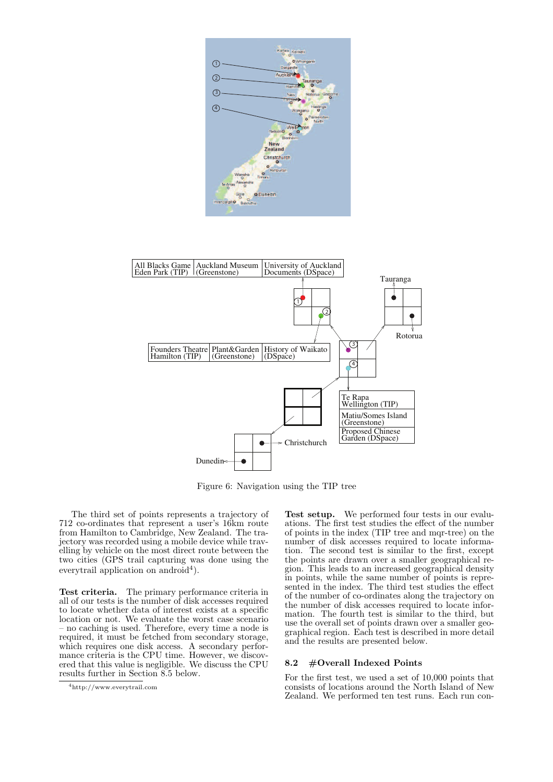



Figure 6: Navigation using the TIP tree

The third set of points represents a trajectory of 712 co-ordinates that represent a user's 16km route from Hamilton to Cambridge, New Zealand. The trajectory was recorded using a mobile device while travelling by vehicle on the most direct route between the two cities (GPS trail capturing was done using the everytrail application on android<sup>4</sup>).

Test criteria. The primary performance criteria in all of our tests is the number of disk accesses required to locate whether data of interest exists at a specific location or not. We evaluate the worst case scenario – no caching is used. Therefore, every time a node is required, it must be fetched from secondary storage, which requires one disk access. A secondary performance criteria is the CPU time. However, we discovered that this value is negligible. We discuss the CPU results further in Section 8.5 below.

Test setup. We performed four tests in our evaluations. The first test studies the effect of the number of points in the index (TIP tree and mqr-tree) on the number of disk accesses required to locate information. The second test is similar to the first, except the points are drawn over a smaller geographical region. This leads to an increased geographical density in points, while the same number of points is represented in the index. The third test studies the effect of the number of co-ordinates along the trajectory on the number of disk accesses required to locate information. The fourth test is similar to the third, but use the overall set of points drawn over a smaller geographical region. Each test is described in more detail and the results are presented below.

## 8.2 #Overall Indexed Points

For the first test, we used a set of 10,000 points that consists of locations around the North Island of New Zealand. We performed ten test runs. Each run con-

<sup>4</sup>http://www.everytrail.com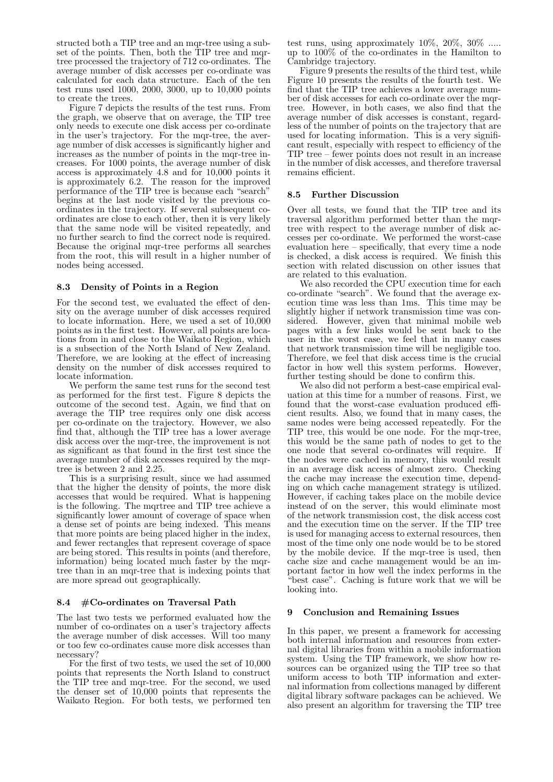structed both a TIP tree and an mqr-tree using a subset of the points. Then, both the TIP tree and mqrtree processed the trajectory of 712 co-ordinates. The average number of disk accesses per co-ordinate was calculated for each data structure. Each of the ten test runs used 1000, 2000, 3000, up to 10,000 points to create the trees.

Figure 7 depicts the results of the test runs. From the graph, we observe that on average, the TIP tree only needs to execute one disk access per co-ordinate in the user's trajectory. For the mqr-tree, the average number of disk accesses is significantly higher and increases as the number of points in the mqr-tree increases. For 1000 points, the average number of disk access is approximately 4.8 and for 10,000 points it is approximately 6.2. The reason for the improved performance of the TIP tree is because each "search" begins at the last node visited by the previous coordinates in the trajectory. If several subsequent coordinates are close to each other, then it is very likely that the same node will be visited repeatedly, and no further search to find the correct node is required. Because the original mqr-tree performs all searches from the root, this will result in a higher number of nodes being accessed.

## 8.3 Density of Points in a Region

For the second test, we evaluated the effect of density on the average number of disk accesses required to locate information. Here, we used a set of 10,000 points as in the first test. However, all points are locations from in and close to the Waikato Region, which is a subsection of the North Island of New Zealand. Therefore, we are looking at the effect of increasing density on the number of disk accesses required to locate information.

We perform the same test runs for the second test as performed for the first test. Figure 8 depicts the outcome of the second test. Again, we find that on average the TIP tree requires only one disk access per co-ordinate on the trajectory. However, we also find that, although the TIP tree has a lower average disk access over the mqr-tree, the improvement is not as significant as that found in the first test since the average number of disk accesses required by the mqrtree is between 2 and 2.25.

This is a surprising result, since we had assumed that the higher the density of points, the more disk accesses that would be required. What is happening is the following. The mqrtree and TIP tree achieve a significantly lower amount of coverage of space when a dense set of points are being indexed. This means that more points are being placed higher in the index, and fewer rectangles that represent coverage of space are being stored. This results in points (and therefore, information) being located much faster by the mqrtree than in an mqr-tree that is indexing points that are more spread out geographically.

## 8.4 #Co-ordinates on Traversal Path

The last two tests we performed evaluated how the number of co-ordinates on a user's trajectory affects the average number of disk accesses. Will too many or too few co-ordinates cause more disk accesses than necessary?

For the first of two tests, we used the set of 10,000 points that represents the North Island to construct the TIP tree and mqr-tree. For the second, we used the denser set of 10,000 points that represents the Waikato Region. For both tests, we performed ten

test runs, using approximately 10%, 20%, 30% ..... up to 100% of the co-ordinates in the Hamilton to Cambridge trajectory.

Figure 9 presents the results of the third test, while Figure 10 presents the results of the fourth test. We find that the TIP tree achieves a lower average number of disk accesses for each co-ordinate over the mqrtree. However, in both cases, we also find that the average number of disk accesses is constant, regardless of the number of points on the trajectory that are used for locating information. This is a very significant result, especially with respect to efficiency of the TIP tree – fewer points does not result in an increase in the number of disk accesses, and therefore traversal remains efficient.

## 8.5 Further Discussion

Over all tests, we found that the TIP tree and its traversal algorithm performed better than the mqrtree with respect to the average number of disk accesses per co-ordinate. We performed the worst-case evaluation here – specifically, that every time a node is checked, a disk access is required. We finish this section with related discussion on other issues that are related to this evaluation.

We also recorded the CPU execution time for each co-ordinate "search". We found that the average execution time was less than 1ms. This time may be slightly higher if network transmission time was considered. However, given that minimal mobile web pages with a few links would be sent back to the user in the worst case, we feel that in many cases that network transmission time will be negligible too. Therefore, we feel that disk access time is the crucial factor in how well this system performs. However, further testing should be done to confirm this.

We also did not perform a best-case empirical evaluation at this time for a number of reasons. First, we found that the worst-case evaluation produced efficient results. Also, we found that in many cases, the same nodes were being accessed repeatedly. For the TIP tree, this would be one node. For the mqr-tree, this would be the same path of nodes to get to the one node that several co-ordinates will require. If the nodes were cached in memory, this would result in an average disk access of almost zero. Checking the cache may increase the execution time, depending on which cache management strategy is utilized. However, if caching takes place on the mobile device instead of on the server, this would eliminate most of the network transmission cost, the disk access cost and the execution time on the server. If the TIP tree is used for managing access to external resources, then most of the time only one node would be to be stored by the mobile device. If the mqr-tree is used, then cache size and cache management would be an important factor in how well the index performs in the "best case". Caching is future work that we will be looking into.

## 9 Conclusion and Remaining Issues

In this paper, we present a framework for accessing both internal information and resources from external digital libraries from within a mobile information system. Using the TIP framework, we show how resources can be organized using the TIP tree so that uniform access to both TIP information and external information from collections managed by different digital library software packages can be achieved. We also present an algorithm for traversing the TIP tree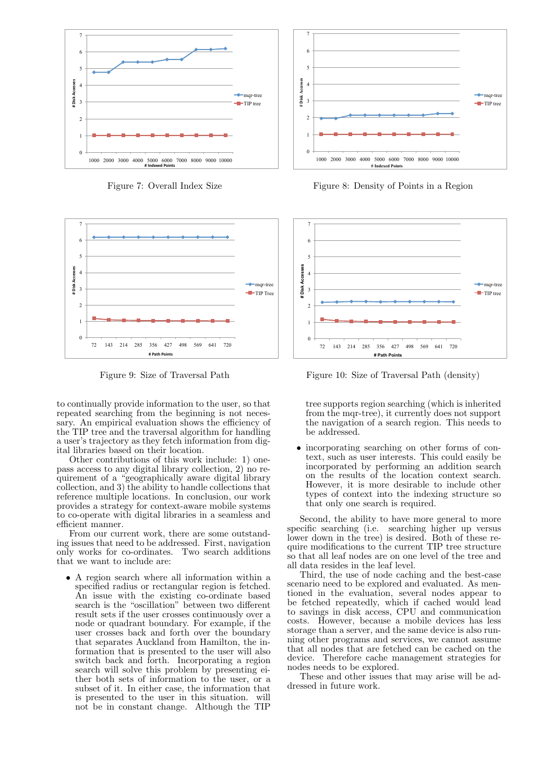

Figure 7: Overall Index Size



Figure 9: Size of Traversal Path

to continually provide information to the user, so that repeated searching from the beginning is not necessary. An empirical evaluation shows the efficiency of the TIP tree and the traversal algorithm for handling a user's trajectory as they fetch information from digital libraries based on their location.

Other contributions of this work include: 1) onepass access to any digital library collection, 2) no requirement of a "geographically aware digital library collection, and 3) the ability to handle collections that reference multiple locations. In conclusion, our work provides a strategy for context-aware mobile systems to co-operate with digital libraries in a seamless and efficient manner.

From our current work, there are some outstanding issues that need to be addressed. First, navigation<br>only works for co-ordinates. Two search additions only works for co-ordinates. that we want to include are:

• A region search where all information within a specified radius or rectangular region is fetched. An issue with the existing co-ordinate based search is the "oscillation" between two different result sets if the user crosses continuously over a node or quadrant boundary. For example, if the user crosses back and forth over the boundary that separates Auckland from Hamilton, the information that is presented to the user will also switch back and forth. Incorporating a region search will solve this problem by presenting either both sets of information to the user, or a subset of it. In either case, the information that is presented to the user in this situation. will not be in constant change. Although the TIP



Figure 8: Density of Points in a Region



Figure 10: Size of Traversal Path (density)

tree supports region searching (which is inherited from the mqr-tree), it currently does not support the navigation of a search region. This needs to be addressed.

• incorporating searching on other forms of context, such as user interests. This could easily be incorporated by performing an addition search on the results of the location context search. However, it is more desirable to include other types of context into the indexing structure so that only one search is required.

Second, the ability to have more general to more specific searching (i.e. searching higher up versus lower down in the tree) is desired. Both of these require modifications to the current TIP tree structure so that all leaf nodes are on one level of the tree and all data resides in the leaf level.

Third, the use of node caching and the best-case scenario need to be explored and evaluated. As mentioned in the evaluation, several nodes appear to be fetched repeatedly, which if cached would lead to savings in disk access, CPU and communication costs. However, because a mobile devices has less storage than a server, and the same device is also running other programs and services, we cannot assume that all nodes that are fetched can be cached on the device. Therefore cache management strategies for nodes needs to be explored.

These and other issues that may arise will be addressed in future work.